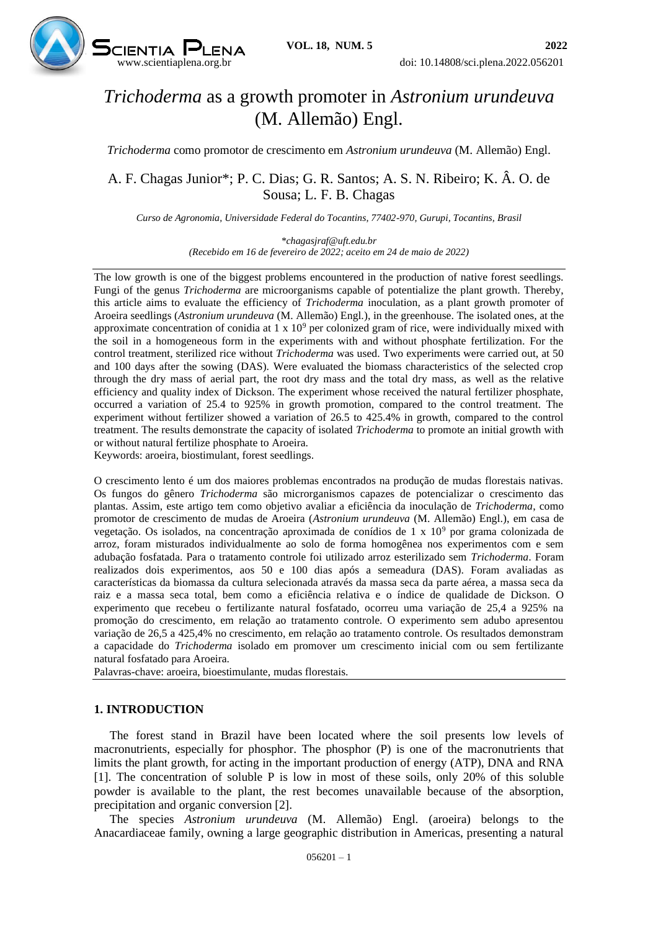

# *Trichoderma* as a growth promoter in *Astronium urundeuva* (M. Allemão) Engl.

*Trichoderma* como promotor de crescimento em *Astronium urundeuva* (M. Allemão) Engl.

## A. F. Chagas Junior\*; P. C. Dias; G. R. Santos; A. S. N. Ribeiro; K. Â. O. de Sousa; L. F. B. Chagas

*Curso de Agronomia, Universidade Federal do Tocantins, 77402-970, Gurupi, Tocantins, Brasil*

*\*chagasjraf@uft.edu.br (Recebido em 16 de fevereiro de 2022; aceito em 24 de maio de 2022)*

The low growth is one of the biggest problems encountered in the production of native forest seedlings. Fungi of the genus *Trichoderma* are microorganisms capable of potentialize the plant growth. Thereby, this article aims to evaluate the efficiency of *Trichoderma* inoculation, as a plant growth promoter of Aroeira seedlings (*Astronium urundeuva* (M. Allemão) Engl.), in the greenhouse. The isolated ones, at the approximate concentration of conidia at  $1 \times 10^9$  per colonized gram of rice, were individually mixed with the soil in a homogeneous form in the experiments with and without phosphate fertilization. For the control treatment, sterilized rice without *Trichoderma* was used. Two experiments were carried out, at 50 and 100 days after the sowing (DAS). Were evaluated the biomass characteristics of the selected crop through the dry mass of aerial part, the root dry mass and the total dry mass, as well as the relative efficiency and quality index of Dickson. The experiment whose received the natural fertilizer phosphate, occurred a variation of 25.4 to 925% in growth promotion, compared to the control treatment. The experiment without fertilizer showed a variation of 26.5 to 425.4% in growth, compared to the control treatment. The results demonstrate the capacity of isolated *Trichoderma* to promote an initial growth with or without natural fertilize phosphate to Aroeira.

Keywords: aroeira, biostimulant, forest seedlings.

O crescimento lento é um dos maiores problemas encontrados na produção de mudas florestais nativas. Os fungos do gênero *Trichoderma* são microrganismos capazes de potencializar o crescimento das plantas. Assim, este artigo tem como objetivo avaliar a eficiência da inoculação de *Trichoderma*, como promotor de crescimento de mudas de Aroeira (*Astronium urundeuva* (M. Allemão) Engl.), em casa de vegetação. Os isolados, na concentração aproximada de conídios de 1 x 10<sup>9</sup> por grama colonizada de arroz, foram misturados individualmente ao solo de forma homogênea nos experimentos com e sem adubação fosfatada. Para o tratamento controle foi utilizado arroz esterilizado sem *Trichoderma*. Foram realizados dois experimentos, aos 50 e 100 dias após a semeadura (DAS). Foram avaliadas as características da biomassa da cultura selecionada através da massa seca da parte aérea, a massa seca da raiz e a massa seca total, bem como a eficiência relativa e o índice de qualidade de Dickson. O experimento que recebeu o fertilizante natural fosfatado, ocorreu uma variação de 25,4 a 925% na promoção do crescimento, em relação ao tratamento controle. O experimento sem adubo apresentou variação de 26,5 a 425,4% no crescimento, em relação ao tratamento controle. Os resultados demonstram a capacidade do *Trichoderma* isolado em promover um crescimento inicial com ou sem fertilizante natural fosfatado para Aroeira.

Palavras-chave: aroeira, bioestimulante, mudas florestais.

### **1. INTRODUCTION**

The forest stand in Brazil have been located where the soil presents low levels of macronutrients, especially for phosphor. The phosphor (P) is one of the macronutrients that limits the plant growth, for acting in the important production of energy (ATP), DNA and RNA [1]. The concentration of soluble P is low in most of these soils, only 20% of this soluble powder is available to the plant, the rest becomes unavailable because of the absorption, precipitation and organic conversion [2].

The species *Astronium urundeuva* (M. Allemão) Engl. (aroeira) belongs to the Anacardiaceae family, owning a large geographic distribution in Americas, presenting a natural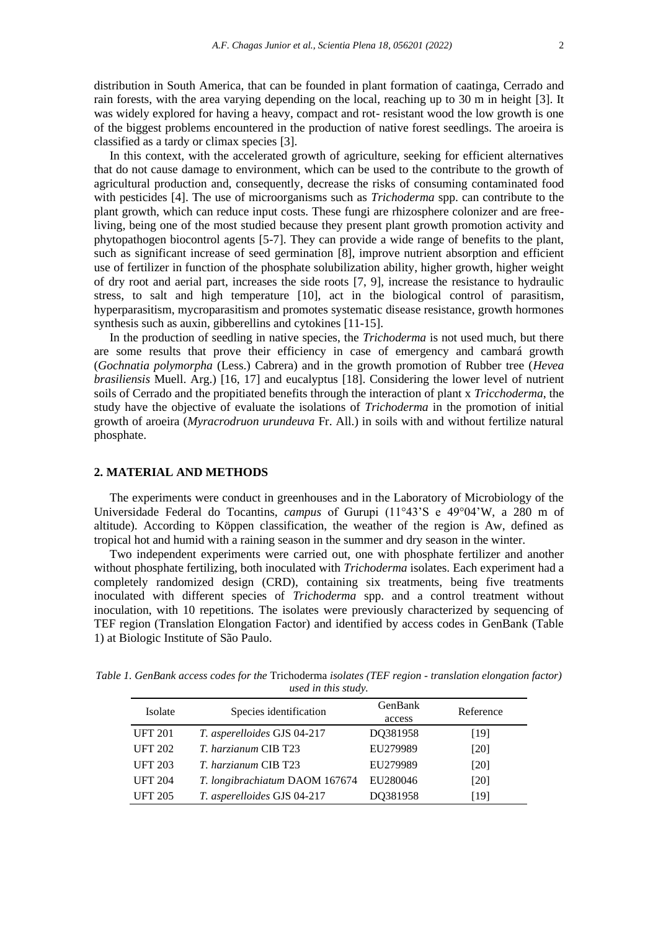distribution in South America, that can be founded in plant formation of caatinga, Cerrado and rain forests, with the area varying depending on the local, reaching up to 30 m in height [3]. It was widely explored for having a heavy, compact and rot- resistant wood the low growth is one of the biggest problems encountered in the production of native forest seedlings. The aroeira is classified as a tardy or climax species [3].

In this context, with the accelerated growth of agriculture, seeking for efficient alternatives that do not cause damage to environment, which can be used to the contribute to the growth of agricultural production and, consequently, decrease the risks of consuming contaminated food with pesticides [4]. The use of microorganisms such as *Trichoderma* spp. can contribute to the plant growth, which can reduce input costs. These fungi are rhizosphere colonizer and are freeliving, being one of the most studied because they present plant growth promotion activity and phytopathogen biocontrol agents [5-7]. They can provide a wide range of benefits to the plant, such as significant increase of seed germination [8], improve nutrient absorption and efficient use of fertilizer in function of the phosphate solubilization ability, higher growth, higher weight of dry root and aerial part, increases the side roots [7, 9], increase the resistance to hydraulic stress, to salt and high temperature [10], act in the biological control of parasitism, hyperparasitism, mycroparasitism and promotes systematic disease resistance, growth hormones synthesis such as auxin, gibberellins and cytokines [11-15].

In the production of seedling in native species, the *Trichoderma* is not used much, but there are some results that prove their efficiency in case of emergency and cambará growth (*Gochnatia polymorpha* (Less.) Cabrera) and in the growth promotion of Rubber tree (*Hevea brasiliensis* Muell. Arg.) [16, 17] and eucalyptus [18]. Considering the lower level of nutrient soils of Cerrado and the propitiated benefits through the interaction of plant x *Tricchoderma*, the study have the objective of evaluate the isolations of *Trichoderma* in the promotion of initial growth of aroeira (*Myracrodruon urundeuva* Fr. All.) in soils with and without fertilize natural phosphate.

#### **2. MATERIAL AND METHODS**

The experiments were conduct in greenhouses and in the Laboratory of Microbiology of the Universidade Federal do Tocantins, *campus* of Gurupi (11°43'S e 49°04'W, a 280 m of altitude). According to Köppen classification, the weather of the region is Aw, defined as tropical hot and humid with a raining season in the summer and dry season in the winter.

Two independent experiments were carried out, one with phosphate fertilizer and another without phosphate fertilizing, both inoculated with *Trichoderma* isolates. Each experiment had a completely randomized design (CRD), containing six treatments, being five treatments inoculated with different species of *Trichoderma* spp. and a control treatment without inoculation, with 10 repetitions. The isolates were previously characterized by sequencing of TEF region (Translation Elongation Factor) and identified by access codes in GenBank (Table 1) at Biologic Institute of São Paulo.

| usea in mis stuay. |                                |          |           |  |  |  |
|--------------------|--------------------------------|----------|-----------|--|--|--|
| Isolate            | Species identification         | GenBank  | Reference |  |  |  |
|                    |                                | access   |           |  |  |  |
| <b>UFT 201</b>     | T. asperelloides GJS 04-217    | DQ381958 | [19]      |  |  |  |
| <b>UFT 202</b>     | T. harzianum CIB T23           | EU279989 | [20]      |  |  |  |
| <b>UFT 203</b>     | <i>T. harzianum</i> CIB T23    | EU279989 | [20]      |  |  |  |
| <b>UFT 204</b>     | T. longibrachiatum DAOM 167674 | EU280046 | [20]      |  |  |  |
| <b>UFT 205</b>     | T. asperelloides GJS 04-217    | DQ381958 | [19]      |  |  |  |

*Table 1. GenBank access codes for the* Trichoderma *isolates (TEF region - translation elongation factor) used in this study.*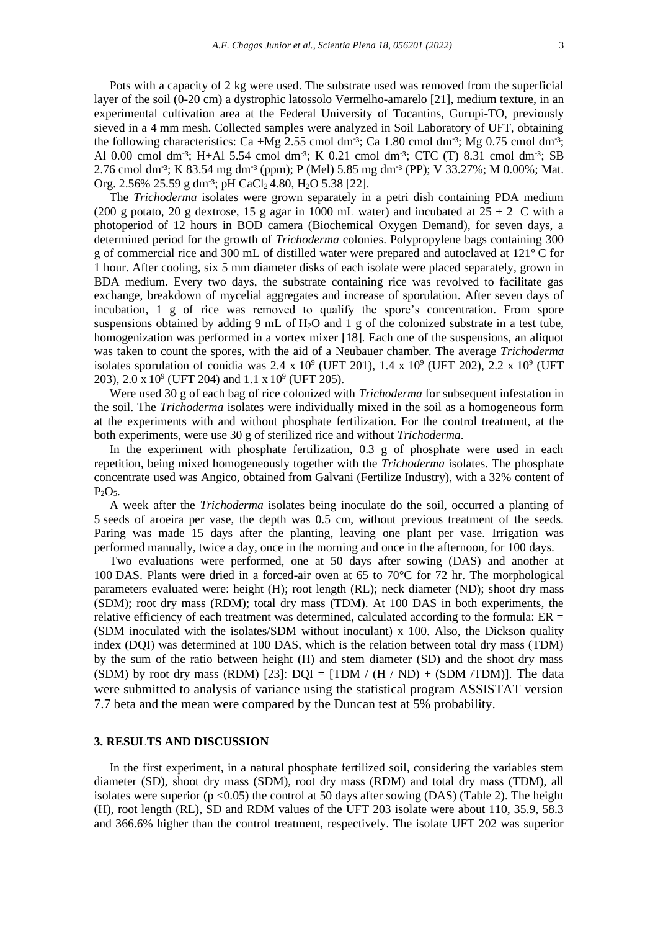Pots with a capacity of 2 kg were used. The substrate used was removed from the superficial layer of the soil (0-20 cm) a dystrophic latossolo Vermelho-amarelo [21], medium texture, in an experimental cultivation area at the Federal University of Tocantins, Gurupi-TO, previously sieved in a 4 mm mesh. Collected samples were analyzed in Soil Laboratory of UFT, obtaining the following characteristics: Ca +Mg 2.55 cmol dm<sup>-3</sup>; Ca 1.80 cmol dm<sup>-3</sup>; Mg 0.75 cmol dm<sup>-3</sup>; Al 0.00 cmol dm<sup>-3</sup>; H+Al 5.54 cmol dm<sup>-3</sup>; K 0.21 cmol dm<sup>-3</sup>; CTC (T) 8.31 cmol dm<sup>-3</sup>; SB 2.76 cmol dm<sup>-3</sup>; K 83.54 mg dm<sup>-3</sup> (ppm); P (Mel) 5.85 mg dm<sup>-3</sup> (PP); V 33.27%; M 0.00%; Mat. Org. 2.56% 25.59 g dm<sup>-3</sup>; pH CaCl<sub>2</sub> 4.80, H<sub>2</sub>O 5.38 [22].

The *Trichoderma* isolates were grown separately in a petri dish containing PDA medium (200 g potato, 20 g dextrose, 15 g agar in 1000 mL water) and incubated at  $25 \pm 2$  C with a photoperiod of 12 hours in BOD camera (Biochemical Oxygen Demand), for seven days, a determined period for the growth of *Trichoderma* colonies. Polypropylene bags containing 300 g of commercial rice and 300 mL of distilled water were prepared and autoclaved at 121º C for 1 hour. After cooling, six 5 mm diameter disks of each isolate were placed separately, grown in BDA medium. Every two days, the substrate containing rice was revolved to facilitate gas exchange, breakdown of mycelial aggregates and increase of sporulation. After seven days of incubation, 1 g of rice was removed to qualify the spore's concentration. From spore suspensions obtained by adding 9 mL of  $H_2O$  and 1 g of the colonized substrate in a test tube, homogenization was performed in a vortex mixer [18]. Each one of the suspensions, an aliquot was taken to count the spores, with the aid of a Neubauer chamber. The average *Trichoderma* isolates sporulation of conidia was 2.4 x  $10^9$  (UFT 201), 1.4 x  $10^9$  (UFT 202), 2.2 x  $10^9$  (UFT 203), 2.0 x  $10^9$  (UFT 204) and 1.1 x  $10^9$  (UFT 205).

Were used 30 g of each bag of rice colonized with *Trichoderma* for subsequent infestation in the soil. The *Trichoderma* isolates were individually mixed in the soil as a homogeneous form at the experiments with and without phosphate fertilization. For the control treatment, at the both experiments, were use 30 g of sterilized rice and without *Trichoderma*.

In the experiment with phosphate fertilization, 0.3 g of phosphate were used in each repetition, being mixed homogeneously together with the *Trichoderma* isolates. The phosphate concentrate used was Angico, obtained from Galvani (Fertilize Industry), with a 32% content of  $P_2O_5$ .

A week after the *Trichoderma* isolates being inoculate do the soil, occurred a planting of 5 seeds of aroeira per vase, the depth was 0.5 cm, without previous treatment of the seeds. Paring was made 15 days after the planting, leaving one plant per vase. Irrigation was performed manually, twice a day, once in the morning and once in the afternoon, for 100 days.

Two evaluations were performed, one at 50 days after sowing (DAS) and another at 100 DAS. Plants were dried in a forced-air oven at 65 to 70°C for 72 hr. The morphological parameters evaluated were: height (H); root length (RL); neck diameter (ND); shoot dry mass (SDM); root dry mass (RDM); total dry mass (TDM). At 100 DAS in both experiments, the relative efficiency of each treatment was determined, calculated according to the formula:  $ER =$ (SDM inoculated with the isolates/SDM without inoculant) x 100. Also, the Dickson quality index (DQI) was determined at 100 DAS, which is the relation between total dry mass (TDM) by the sum of the ratio between height (H) and stem diameter (SD) and the shoot dry mass (SDM) by root dry mass (RDM) [23]:  $DOI = [TDM / (H / ND) + (SDM / TDM)]$ . The data were submitted to analysis of variance using the statistical program ASSISTAT version 7.7 beta and the mean were compared by the Duncan test at 5% probability.

#### **3. RESULTS AND DISCUSSION**

In the first experiment, in a natural phosphate fertilized soil, considering the variables stem diameter (SD), shoot dry mass (SDM), root dry mass (RDM) and total dry mass (TDM), all isolates were superior  $(p \le 0.05)$  the control at 50 days after sowing (DAS) (Table 2). The height (H), root length (RL), SD and RDM values of the UFT 203 isolate were about 110, 35.9, 58.3 and 366.6% higher than the control treatment, respectively. The isolate UFT 202 was superior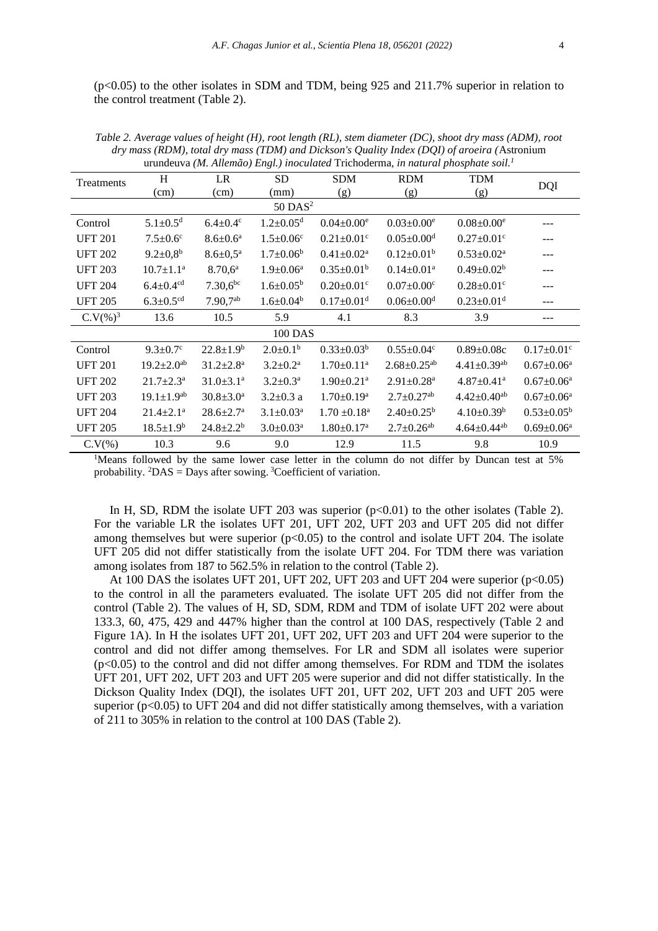(p<0.05) to the other isolates in SDM and TDM, being 925 and 211.7% superior in relation to the control treatment (Table 2).

| urungeuva ( <i>m. Auemao) Engl.) inoculatea</i> Trichogerina, <i>in natural phosphale solt.</i> |                              |                             |                             |                              |                               |                               |                              |  |
|-------------------------------------------------------------------------------------------------|------------------------------|-----------------------------|-----------------------------|------------------------------|-------------------------------|-------------------------------|------------------------------|--|
| Treatments                                                                                      | H                            | LR                          | SD                          | <b>SDM</b>                   | <b>RDM</b>                    | <b>TDM</b>                    |                              |  |
|                                                                                                 | (cm)                         | (cm)                        | (mm)                        | (g)                          | (g)                           | (g)                           | DQI                          |  |
| $50$ DAS <sup>2</sup>                                                                           |                              |                             |                             |                              |                               |                               |                              |  |
| Control                                                                                         | $5.1 \pm 0.5^d$              | $6.4 \pm 0.4$ <sup>c</sup>  | $1.2 \pm 0.05$ <sup>d</sup> | $0.04 \pm 0.00^e$            | $0.03 \pm 0.00^e$             | $0.08 \pm 0.00^e$             |                              |  |
| <b>UFT 201</b>                                                                                  | $7.5 \pm 0.6$ <sup>c</sup>   | $8.6 \pm 0.6^a$             | $1.5 \pm 0.06^c$            | $0.21 \pm 0.01$ <sup>c</sup> | $0.05 \pm 0.00$ <sup>d</sup>  | $0.27 \pm 0.01$ <sup>c</sup>  | ---                          |  |
| <b>UFT 202</b>                                                                                  | $9.2 \pm 0.8^{\rm b}$        | $8.6 \pm 0.5^{\text{a}}$    | $1.7 \pm 0.06^b$            | $0.41 \pm 0.02^a$            | $0.12 \pm 0.01^b$             | $0.53 \pm 0.02^a$             | ---                          |  |
| <b>UFT 203</b>                                                                                  | $10.7 \pm 1.1^{\text{a}}$    | $8.70,6^a$                  | $1.9 \pm 0.06^a$            | $0.35 \pm 0.01^b$            | $0.14 \pm 0.01$ <sup>a</sup>  | $0.49 \pm 0.02^b$             | ---                          |  |
| <b>UFT 204</b>                                                                                  | $6.4 \pm 0.4$ <sup>cd</sup>  | $7.30,6^{bc}$               | $1.6 \pm 0.05^{\rm b}$      | $0.20 \pm 0.01$ c            | $0.07 \pm 0.00$ <sup>c</sup>  | $0.28 \pm 0.01$ c             | ---                          |  |
| <b>UFT 205</b>                                                                                  | $6.3 \pm 0.5$ <sup>cd</sup>  | $7.90,7^{ab}$               | $1.6 \pm 0.04^b$            | $0.17 \pm 0.01$ <sup>d</sup> | $0.06 \pm 0.00$ <sup>d</sup>  | $0.23 \pm 0.01$ <sup>d</sup>  | ---                          |  |
| $C.V(\%)^3$                                                                                     | 13.6                         | 10.5                        | 5.9                         | 4.1                          | 8.3                           | 3.9                           | ---                          |  |
| <b>100 DAS</b>                                                                                  |                              |                             |                             |                              |                               |                               |                              |  |
| Control                                                                                         | $9.3 \pm 0.7$ °              | $22.8 \pm 1.9^b$            | $2.0 \pm 0.1^b$             | $0.33 \pm 0.03^b$            | $0.55 \pm 0.04$ <sup>c</sup>  | $0.89 \pm 0.08c$              | $0.17 \pm 0.01$ <sup>c</sup> |  |
| <b>UFT 201</b>                                                                                  | $19.2 \pm 2.0^{ab}$          | $31.2 \pm 2.8^a$            | $3.2 \pm 0.2^a$             | $1.70 \pm 0.11^a$            | $2.68 \pm 0.25$ <sup>ab</sup> | $4.41 \pm 0.39$ <sup>ab</sup> | $0.67 \pm 0.06^a$            |  |
| <b>UFT 202</b>                                                                                  | $21.7 \pm 2.3^{\text{a}}$    | $31.0 \pm 3.1$ <sup>a</sup> | $3.2 \pm 0.3^{\text{a}}$    | $1.90 \pm 0.21$ <sup>a</sup> | $2.91 \pm 0.28$ <sup>a</sup>  | $4.87 \pm 0.41$ <sup>a</sup>  | $0.67 \pm 0.06^a$            |  |
| <b>UFT 203</b>                                                                                  | $19.1 \pm 1.9$ <sup>ab</sup> | $30.8 \pm 3.0^{\text{a}}$   | $3.2 \pm 0.3$ a             | $1.70 \pm 0.19^{\mathrm{a}}$ | $2.7 \pm 0.27$ <sup>ab</sup>  | $4.42 \pm 0.40$ <sup>ab</sup> | $0.67 \pm 0.06^a$            |  |
| <b>UFT 204</b>                                                                                  | $21.4 \pm 2.1$ <sup>a</sup>  | $28.6 \pm 2.7$ <sup>a</sup> | $3.1 \pm 0.03^{\text{a}}$   | $1.70 \pm 0.18^{\text{a}}$   | $2.40 \pm 0.25^b$             | $4.10\pm0.39^b$               | $0.53 \pm 0.05^b$            |  |
| <b>UFT 205</b>                                                                                  | $18.5 \pm 1.9^b$             | $24.8 \pm 2.2^b$            | $3.0 \pm 0.03^{\text{a}}$   | $1.80 \pm 0.17^{\text{a}}$   | $2.7 \pm 0.26^{ab}$           | $4.64 \pm 0.44$ <sup>ab</sup> | $0.69 \pm 0.06^a$            |  |
| C.V(%)                                                                                          | 10.3                         | 9.6                         | 9.0                         | 12.9                         | 11.5                          | 9.8                           | 10.9                         |  |

*Table 2. Average values of height (H), root length (RL), stem diameter (DC), shoot dry mass (ADM), root dry mass (RDM), total dry mass (TDM) and Dickson's Quality Index (DQI) of aroeira (*Astronium va *(M. Allemão) Engl.) inoculated* Trich

<sup>1</sup>Means followed by the same lower case letter in the column do not differ by Duncan test at 5% probability.  ${}^{2}DAS =$  Days after sowing.  ${}^{3}C$  oefficient of variation.

In H, SD, RDM the isolate UFT 203 was superior  $(p<0.01)$  to the other isolates (Table 2). For the variable LR the isolates UFT 201, UFT 202, UFT 203 and UFT 205 did not differ among themselves but were superior  $(p<0.05)$  to the control and isolate UFT 204. The isolate UFT 205 did not differ statistically from the isolate UFT 204. For TDM there was variation among isolates from 187 to 562.5% in relation to the control (Table 2).

At 100 DAS the isolates UFT 201, UFT 202, UFT 203 and UFT 204 were superior  $(p<0.05)$ to the control in all the parameters evaluated. The isolate UFT 205 did not differ from the control (Table 2). The values of H, SD, SDM, RDM and TDM of isolate UFT 202 were about 133.3, 60, 475, 429 and 447% higher than the control at 100 DAS, respectively (Table 2 and Figure 1A). In H the isolates UFT 201, UFT 202, UFT 203 and UFT 204 were superior to the control and did not differ among themselves. For LR and SDM all isolates were superior (p<0.05) to the control and did not differ among themselves. For RDM and TDM the isolates UFT 201, UFT 202, UFT 203 and UFT 205 were superior and did not differ statistically. In the Dickson Quality Index (DQI), the isolates UFT 201, UFT 202, UFT 203 and UFT 205 were superior ( $p<0.05$ ) to UFT 204 and did not differ statistically among themselves, with a variation of 211 to 305% in relation to the control at 100 DAS (Table 2).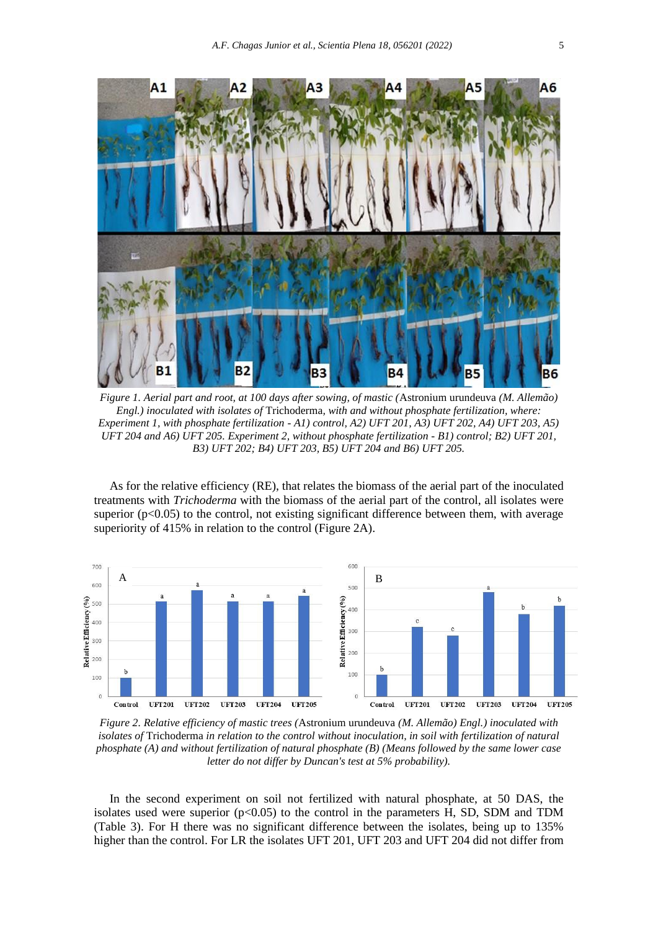

*Figure 1. Aerial part and root, at 100 days after sowing, of mastic (*Astronium urundeuva *(M. Allemão) Engl.) inoculated with isolates of* Trichoderma*, with and without phosphate fertilization, where: Experiment 1, with phosphate fertilization - A1) control, A2) UFT 201, A3) UFT 202, A4) UFT 203, A5) UFT 204 and A6) UFT 205. Experiment 2, without phosphate fertilization - B1) control; B2) UFT 201, B3) UFT 202; B4) UFT 203, B5) UFT 204 and B6) UFT 205.*

As for the relative efficiency (RE), that relates the biomass of the aerial part of the inoculated treatments with *Trichoderma* with the biomass of the aerial part of the control, all isolates were superior  $(p<0.05)$  to the control, not existing significant difference between them, with average superiority of 415% in relation to the control (Figure 2A).



*Figure 2. Relative efficiency of mastic trees (*Astronium urundeuva *(M. Allemão) Engl.) inoculated with isolates of* Trichoderma *in relation to the control without inoculation, in soil with fertilization of natural phosphate (A) and without fertilization of natural phosphate (B) (Means followed by the same lower case letter do not differ by Duncan's test at 5% probability).*

In the second experiment on soil not fertilized with natural phosphate, at 50 DAS, the isolates used were superior  $(p<0.05)$  to the control in the parameters H, SD, SDM and TDM (Table 3). For H there was no significant difference between the isolates, being up to 135% higher than the control. For LR the isolates UFT 201, UFT 203 and UFT 204 did not differ from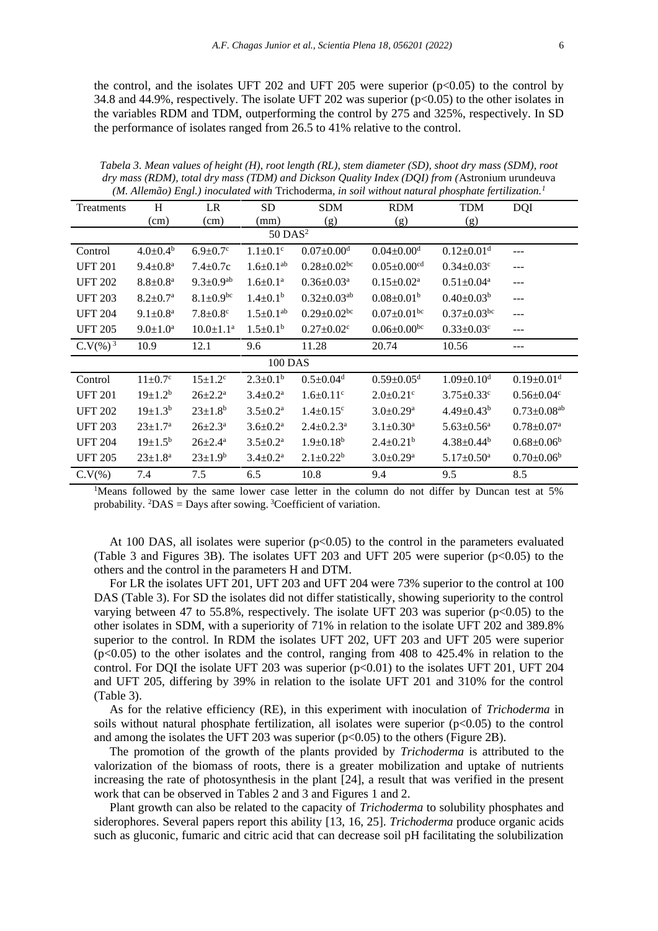the control, and the isolates UFT 202 and UFT 205 were superior  $(p<0.05)$  to the control by 34.8 and 44.9%, respectively. The isolate UFT 202 was superior (p<0.05) to the other isolates in the variables RDM and TDM, outperforming the control by 275 and 325%, respectively. In SD the performance of isolates ranged from 26.5 to 41% relative to the control.

| ти. Анетао) Елді,) тосинией мин ттенойстна, ін зон минош папита рнозрние јетнизаноп. |                          |                             |                            |                               |                               |                              |                               |  |
|--------------------------------------------------------------------------------------|--------------------------|-----------------------------|----------------------------|-------------------------------|-------------------------------|------------------------------|-------------------------------|--|
| Treatments                                                                           | H                        | LR                          | <b>SD</b>                  | <b>SDM</b>                    | <b>RDM</b>                    | <b>TDM</b>                   | <b>DQI</b>                    |  |
|                                                                                      | (cm)                     | (cm)                        | (mm)                       | (g)                           | (g)                           | (g)                          |                               |  |
| $50$ DAS <sup>2</sup>                                                                |                          |                             |                            |                               |                               |                              |                               |  |
| Control                                                                              | $4.0 \pm 0.4^{\rm b}$    | $6.9 \pm 0.7$ °             | $1.1 \pm 0.1$ <sup>c</sup> | $0.07 \pm 0.00$ <sup>d</sup>  | $0.04 \pm 0.00$ <sup>d</sup>  | $0.12 \pm 0.01$ <sup>d</sup> | $---$                         |  |
| <b>UFT 201</b>                                                                       | $9.4 \pm 0.8^{\text{a}}$ | $7.4 \pm 0.7c$              | $1.6 \pm 0.1^{ab}$         | $0.28 \pm 0.02$ bc            | $0.05 \pm 0.00$ <sup>cd</sup> | $0.34 \pm 0.03$ <sup>c</sup> | $---$                         |  |
| <b>UFT 202</b>                                                                       | $8.8 \pm 0.8^{\rm a}$    | $9.3 \pm 0.9$ <sup>ab</sup> | $1.6 \pm 0.1^a$            | $0.36 \pm 0.03$ <sup>a</sup>  | $0.15 \pm 0.02^a$             | $0.51 \pm 0.04^a$            | $---$                         |  |
| <b>UFT 203</b>                                                                       | $8.2 \pm 0.7^{\rm a}$    | $8.1 \pm 0.9$ bc            | $1.4 \pm 0.1^b$            | $0.32 \pm 0.03$ <sup>ab</sup> | $0.08 \pm 0.01$ <sup>b</sup>  | $0.40 \pm 0.03^b$            | $---$                         |  |
| <b>UFT 204</b>                                                                       | $9.1 \pm 0.8^a$          | $7.8 \pm 0.8$ <sup>c</sup>  | $1.5 \pm 0.1^{ab}$         | $0.29 \pm 0.02$ bc            | $0.07 \pm 0.01$ <sup>bc</sup> | $0.37 \pm 0.03$ bc           | $---$                         |  |
| <b>UFT 205</b>                                                                       | $9.0 \pm 1.0^a$          | $10.0 \pm 1.1^a$            | $1.5 \pm 0.1^b$            | $0.27 \pm 0.02$ <sup>c</sup>  | $0.06 \pm 0.00^{bc}$          | $0.33 \pm 0.03$ <sup>c</sup> | $---$                         |  |
| $C.V(\%)^3$                                                                          | 10.9                     | 12.1                        | 9.6                        | 11.28                         | 20.74                         | 10.56                        |                               |  |
| 100 DAS                                                                              |                          |                             |                            |                               |                               |                              |                               |  |
| Control                                                                              | $11 \pm 0.7^{\circ}$     | $15 \pm 1.2^c$              | $2.3 \pm 0.1^b$            | $0.5 \pm 0.04$ <sup>d</sup>   | $0.59 \pm 0.05$ <sup>d</sup>  | $1.09 \pm 0.10^d$            | $0.19 \pm 0.01$ <sup>d</sup>  |  |
| <b>UFT 201</b>                                                                       | $19 \pm 1.2^b$           | $26 \pm 2.2^{\text{a}}$     | $3.4 \pm 0.2^{\text{a}}$   | $1.6 \pm 0.11$ <sup>c</sup>   | $2.0 \pm 0.21$ <sup>c</sup>   | $3.75 \pm 0.33$ <sup>c</sup> | $0.56 \pm 0.04$ c             |  |
| <b>UFT 202</b>                                                                       | $19\pm1.3^{b}$           | $23 \pm 1.8^b$              | $3.5 \pm 0.2^a$            | $1.4 \pm 0.15$ <sup>c</sup>   | $3.0 \pm 0.29$ <sup>a</sup>   | $4.49 \pm 0.43^b$            | $0.73 \pm 0.08$ <sup>ab</sup> |  |
| <b>UFT 203</b>                                                                       | $23 \pm 1.7^{\rm a}$     | $26 \pm 2.3^{\text{a}}$     | $3.6 \pm 0.2^{\text{a}}$   | $2.4 \pm 0.2.3$ <sup>a</sup>  | $3.1 \pm 0.30^a$              | $5.63 \pm 0.56$ <sup>a</sup> | $0.78 \pm 0.07^{\text{a}}$    |  |
| <b>UFT 204</b>                                                                       | $19\pm1.5^{b}$           | $26 \pm 2.4^{\text{a}}$     | $3.5 \pm 0.2^a$            | $1.9 \pm 0.18^b$              | $2.4 \pm 0.21^b$              | $4.38 \pm 0.44^b$            | $0.68 \pm 0.06^b$             |  |
| <b>UFT 205</b>                                                                       | $23 \pm 1.8^a$           | $23 \pm 1.9^b$              | $3.4 \pm 0.2^a$            | $2.1 \pm 0.22^b$              | $3.0 \pm 0.29$ <sup>a</sup>   | $5.17 \pm 0.50$ <sup>a</sup> | $0.70 \pm 0.06^b$             |  |
| C.V(% )                                                                              | 7.4                      | 7.5                         | 6.5                        | 10.8                          | 9.4                           | 9.5                          | 8.5                           |  |

*Tabela 3. Mean values of height (H), root length (RL), stem diameter (SD), shoot dry mass (SDM), root dry mass (RDM), total dry mass (TDM) and Dickson Quality Index (DQI) from (*Astronium urundeuva *(M. Allemão) Engl.) inoculated with* Trichoderma*, in soil without natural phosphate fertilization.<sup>1</sup>*

<sup>1</sup>Means followed by the same lower case letter in the column do not differ by Duncan test at 5% probability.  ${}^{2}DAS =$ Days after sowing.  ${}^{3}C$ oefficient of variation.

At 100 DAS, all isolates were superior  $(p<0.05)$  to the control in the parameters evaluated (Table 3 and Figures 3B). The isolates UFT 203 and UFT 205 were superior  $(p<0.05)$  to the others and the control in the parameters H and DTM.

For LR the isolates UFT 201, UFT 203 and UFT 204 were 73% superior to the control at 100 DAS (Table 3). For SD the isolates did not differ statistically, showing superiority to the control varying between 47 to 55.8%, respectively. The isolate UFT 203 was superior ( $p<0.05$ ) to the other isolates in SDM, with a superiority of 71% in relation to the isolate UFT 202 and 389.8% superior to the control. In RDM the isolates UFT 202, UFT 203 and UFT 205 were superior  $(p<0.05)$  to the other isolates and the control, ranging from 408 to 425.4% in relation to the control. For DQI the isolate UFT 203 was superior  $(p<0.01)$  to the isolates UFT 201, UFT 204 and UFT 205, differing by 39% in relation to the isolate UFT 201 and 310% for the control (Table 3).

As for the relative efficiency (RE), in this experiment with inoculation of *Trichoderma* in soils without natural phosphate fertilization, all isolates were superior  $(p<0.05)$  to the control and among the isolates the UFT 203 was superior  $(p<0.05)$  to the others (Figure 2B).

The promotion of the growth of the plants provided by *Trichoderma* is attributed to the valorization of the biomass of roots, there is a greater mobilization and uptake of nutrients increasing the rate of photosynthesis in the plant [24], a result that was verified in the present work that can be observed in Tables 2 and 3 and Figures 1 and 2.

Plant growth can also be related to the capacity of *Trichoderma* to solubility phosphates and siderophores. Several papers report this ability [13, 16, 25]. *Trichoderma* produce organic acids such as gluconic, fumaric and citric acid that can decrease soil pH facilitating the solubilization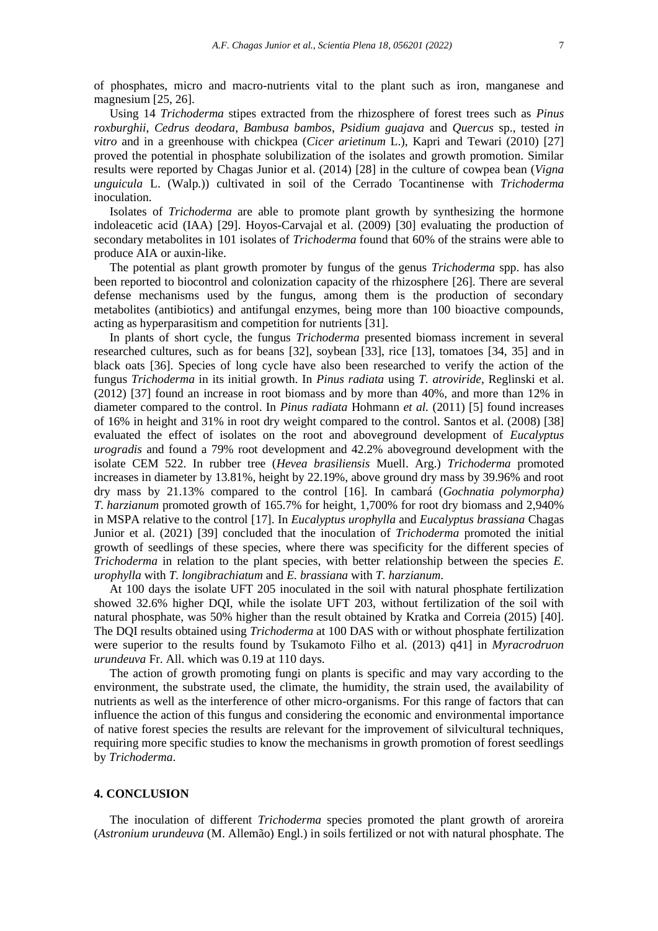Using 14 *Trichoderma* stipes extracted from the rhizosphere of forest trees such as *Pinus roxburghii*, *Cedrus deodara*, *Bambusa bambos*, *Psidium guajava* and *Quercus* sp., tested *in vitro* and in a greenhouse with chickpea (*Cicer arietinum* L.), Kapri and Tewari (2010) [27] proved the potential in phosphate solubilization of the isolates and growth promotion. Similar results were reported by Chagas Junior et al. (2014) [28] in the culture of cowpea bean (*Vigna unguicula* L. (Walp*.*)) cultivated in soil of the Cerrado Tocantinense with *Trichoderma* inoculation.

Isolates of *Trichoderma* are able to promote plant growth by synthesizing the hormone indoleacetic acid (IAA) [29]. Hoyos-Carvajal et al. (2009) [30] evaluating the production of secondary metabolites in 101 isolates of *Trichoderma* found that 60% of the strains were able to produce AIA or auxin-like.

The potential as plant growth promoter by fungus of the genus *Trichoderma* spp. has also been reported to biocontrol and colonization capacity of the rhizosphere [26]. There are several defense mechanisms used by the fungus, among them is the production of secondary metabolites (antibiotics) and antifungal enzymes, being more than 100 bioactive compounds, acting as hyperparasitism and competition for nutrients [31].

In plants of short cycle, the fungus *Trichoderma* presented biomass increment in several researched cultures, such as for beans [32], soybean [33], rice [13], tomatoes [34, 35] and in black oats [36]. Species of long cycle have also been researched to verify the action of the fungus *Trichoderma* in its initial growth. In *Pinus radiata* using *T. atroviride*, Reglinski et al. (2012) [37] found an increase in root biomass and by more than 40%, and more than 12% in diameter compared to the control. In *Pinus radiata* Hohmann *et al.* (2011) [5] found increases of 16% in height and 31% in root dry weight compared to the control. Santos et al. (2008) [38] evaluated the effect of isolates on the root and aboveground development of *Eucalyptus urogradis* and found a 79% root development and 42.2% aboveground development with the isolate CEM 522. In rubber tree (*Hevea brasiliensis* Muell. Arg.) *Trichoderma* promoted increases in diameter by 13.81%, height by 22.19%, above ground dry mass by 39.96% and root dry mass by 21.13% compared to the control [16]. In cambará (*Gochnatia polymorpha) T. harzianum* promoted growth of 165.7% for height, 1,700% for root dry biomass and 2,940% in MSPA relative to the control [17]. In *Eucalyptus urophylla* and *Eucalyptus brassiana* Chagas Junior et al. (2021) [39] concluded that the inoculation of *Trichoderma* promoted the initial growth of seedlings of these species, where there was specificity for the different species of *Trichoderma* in relation to the plant species, with better relationship between the species *E*. *urophylla* with *T. longibrachiatum* and *E. brassiana* with *T. harzianum*.

At 100 days the isolate UFT 205 inoculated in the soil with natural phosphate fertilization showed 32.6% higher DQI, while the isolate UFT 203, without fertilization of the soil with natural phosphate, was 50% higher than the result obtained by Kratka and Correia (2015) [40]. The DQI results obtained using *Trichoderma* at 100 DAS with or without phosphate fertilization were superior to the results found by Tsukamoto Filho et al. (2013) q41] in *Myracrodruon urundeuva* Fr. All. which was 0.19 at 110 days.

The action of growth promoting fungi on plants is specific and may vary according to the environment, the substrate used, the climate, the humidity, the strain used, the availability of nutrients as well as the interference of other micro-organisms. For this range of factors that can influence the action of this fungus and considering the economic and environmental importance of native forest species the results are relevant for the improvement of silvicultural techniques, requiring more specific studies to know the mechanisms in growth promotion of forest seedlings by *Trichoderma*.

#### **4. CONCLUSION**

The inoculation of different *Trichoderma* species promoted the plant growth of aroreira (*Astronium urundeuva* (M. Allemão) Engl.) in soils fertilized or not with natural phosphate. The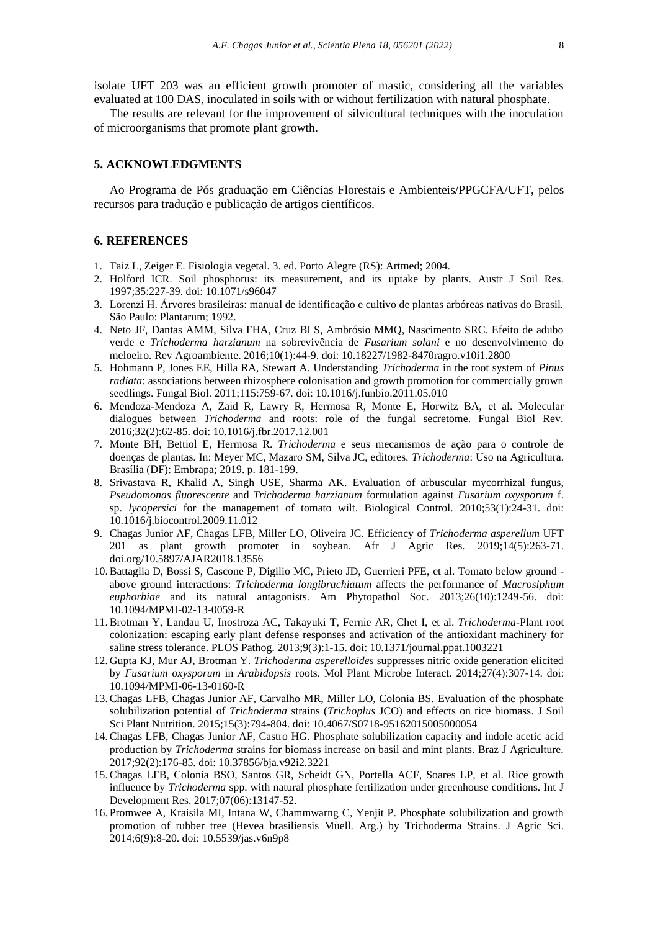isolate UFT 203 was an efficient growth promoter of mastic, considering all the variables evaluated at 100 DAS, inoculated in soils with or without fertilization with natural phosphate.

The results are relevant for the improvement of silvicultural techniques with the inoculation of microorganisms that promote plant growth.

#### **5. ACKNOWLEDGMENTS**

Ao Programa de Pós graduação em Ciências Florestais e Ambienteis/PPGCFA/UFT, pelos recursos para tradução e publicação de artigos científicos.

#### **6. REFERENCES**

- 1. Taiz L, Zeiger E. Fisiologia vegetal. 3. ed. Porto Alegre (RS): Artmed; 2004.
- 2. Holford ICR. Soil phosphorus: its measurement, and its uptake by plants. Austr J Soil Res. 1997;35:227-39. doi: 10.1071/s96047
- 3. Lorenzi H. Árvores brasileiras: manual de identificação e cultivo de plantas arbóreas nativas do Brasil. São Paulo: Plantarum; 1992.
- 4. Neto JF, Dantas AMM, Silva FHA, Cruz BLS, Ambrósio MMQ, Nascimento SRC. Efeito de adubo verde e *Trichoderma harzianum* na sobrevivência de *Fusarium solani* e no desenvolvimento do meloeiro. Rev Agroambiente. 2016;10(1):44-9. doi: 10.18227/1982-8470ragro.v10i1.2800
- 5. Hohmann P, Jones EE, Hilla RA, Stewart A. Understanding *Trichoderma* in the root system of *Pinus radiata*: associations between rhizosphere colonisation and growth promotion for commercially grown seedlings. Fungal Biol. 2011;115:759-67. doi: 10.1016/j.funbio.2011.05.010
- 6. Mendoza-Mendoza A, Zaid R, Lawry R, Hermosa R, Monte E, Horwitz BA, et al. Molecular dialogues between *Trichoderma* and roots: role of the fungal secretome. Fungal Biol Rev. 2016;32(2):62-85. doi: 10.1016/j.fbr.2017.12.001
- 7. Monte BH, Bettiol E, Hermosa R. *Trichoderma* e seus mecanismos de ação para o controle de doenças de plantas. In: Meyer MC, Mazaro SM, Silva JC, editores. *Trichoderma*: Uso na Agricultura. Brasília (DF): Embrapa; 2019. p. 181-199.
- 8. Srivastava R, Khalid A, Singh USE, Sharma AK. Evaluation of arbuscular mycorrhizal fungus, *Pseudomonas fluorescente* and *Trichoderma harzianum* formulation against *Fusarium oxysporum* f. sp. *lycopersici* for the management of tomato wilt. Biological Control. 2010;53(1):24-31. doi: 10.1016/j.biocontrol.2009.11.012
- 9. Chagas Junior AF, Chagas LFB, Miller LO, Oliveira JC. Efficiency of *Trichoderma asperellum* UFT 201 as plant growth promoter in soybean. Afr J Agric Res. 2019;14(5):263-71. doi.org/10.5897/AJAR2018.13556
- 10.Battaglia D, Bossi S, Cascone P, Digilio MC, Prieto JD, Guerrieri PFE, et al. Tomato below ground above ground interactions: *Trichoderma longibrachiatum* affects the performance of *Macrosiphum euphorbiae* and its natural antagonists. Am Phytopathol Soc. 2013;26(10):1249-56. doi: [10.1094/MPMI-02-13-0059-R](https://doi.org/10.1094/MPMI-02-13-0059-R)
- 11.Brotman Y, Landau U, Inostroza AC, Takayuki T, Fernie AR, Chet I, et al. *Trichoderma*-Plant root colonization: escaping early plant defense responses and activation of the antioxidant machinery for saline stress tolerance. PLOS Pathog. 2013;9(3):1-15. doi: 10.1371/journal.ppat.1003221
- 12. Gupta KJ, Mur AJ, Brotman Y. *Trichoderma asperelloides* suppresses nitric oxide generation elicited by *Fusarium oxysporum* in *Arabidopsis* roots. Mol Plant Microbe Interact. 2014;27(4):307-14. [doi:](https://doi.org/10.1094/MPMI-06-13-0160-R)  [10.1094/MPMI-06-13-0160-R](https://doi.org/10.1094/MPMI-06-13-0160-R)
- 13.Chagas LFB, Chagas Junior AF, Carvalho MR, Miller LO, Colonia BS. Evaluation of the phosphate solubilization potential of *Trichoderma* strains (*Trichoplus* JCO) and effects on rice biomass. J Soil Sci Plant Nutrition. 2015;15(3):794-804. doi: 10.4067/S0718-95162015005000054
- 14.Chagas LFB, Chagas Junior AF, Castro HG. Phosphate solubilization capacity and indole acetic acid production by *Trichoderma* strains for biomass increase on basil and mint plants. Braz J Agriculture. 2017;92(2):176-85. [doi: 10.37856/bja.v92i2.3221](https://doi.org/10.37856/bja.v92i2.3221)
- 15.Chagas LFB, Colonia BSO, Santos GR, Scheidt GN, Portella ACF, Soares LP, et al. Rice growth influence by *Trichoderma* spp. with natural phosphate fertilization under greenhouse conditions. Int J Development Res. 2017;07(06):13147-52.
- 16. Promwee A, Kraisila MI, Intana W, Chammwarng C, Yenjit P. Phosphate solubilization and growth promotion of rubber tree (Hevea brasiliensis Muell. Arg.) by Trichoderma Strains. J Agric Sci. 2014;6(9):8-20. doi: 10.5539/jas.v6n9p8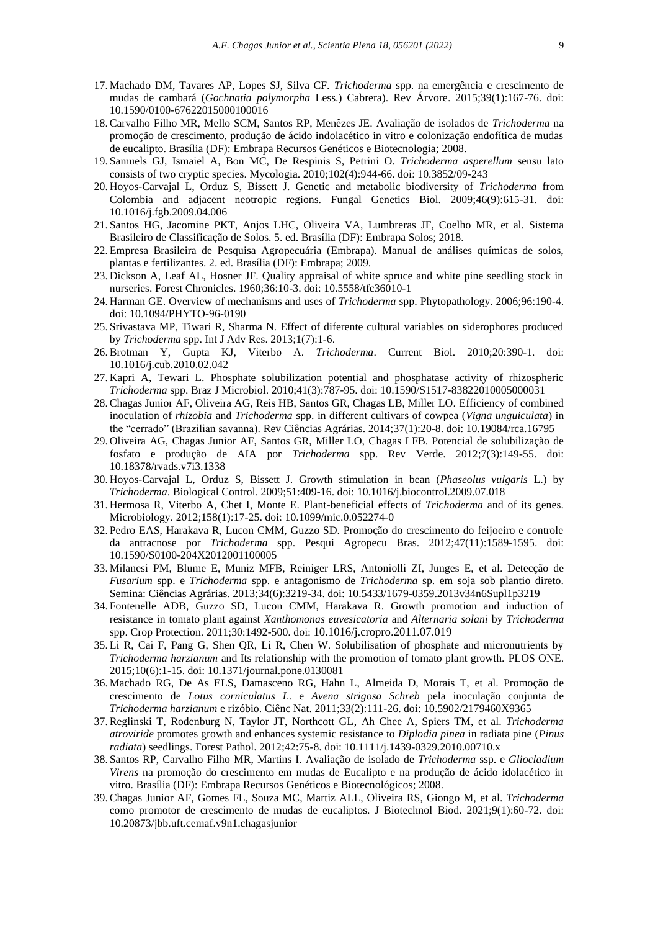- 17. Machado DM, Tavares AP, Lopes SJ, Silva CF. *Trichoderma* spp. na emergência e crescimento de mudas de cambará (*Gochnatia polymorpha* Less.) Cabrera). Rev Árvore. 2015;39(1):167-76. doi: 10.1590/0100-67622015000100016
- 18.Carvalho Filho MR, Mello SCM, Santos RP, Menêzes JE. Avaliação de isolados de *Trichoderma* na promoção de crescimento, produção de ácido indolacético in vitro e colonização endofítica de mudas de eucalipto. Brasília (DF): Embrapa Recursos Genéticos e Biotecnologia; 2008.
- 19. Samuels GJ, Ismaiel A, Bon MC, De Respinis S, Petrini O. *[Trichoderma](http://www.straininfo.net/publications/139621) asperellum* sensu lato [consists of two cryptic species.](http://www.straininfo.net/publications/139621) Mycologia. 2010;102(4):944-66. doi: 10.3852/09-243
- 20. Hoyos-Carvajal L, Orduz S, Bissett J. Genetic and metabolic biodiversity of *Trichoderma* from Colombia and adjacent neotropic regions. Fungal Genetics Biol. 2009;46(9):615-31. doi: 10.1016/j.fgb.2009.04.006
- 21. Santos HG, Jacomine PKT, Anjos LHC, Oliveira VA, Lumbreras JF, Coelho MR, et al. Sistema Brasileiro de Classificação de Solos. 5. ed. Brasília (DF): Embrapa Solos; 2018.
- 22. Empresa Brasileira de Pesquisa Agropecuária (Embrapa). Manual de análises químicas de solos, plantas e fertilizantes. 2. ed. Brasília (DF): Embrapa; 2009.
- 23. Dickson A, Leaf AL, Hosner JF. Quality appraisal of white spruce and white pine seedling stock in nurseries. Forest Chronicles. 1960;36:10-3. doi: [10.5558/tfc36010-1](https://doi.org/10.5558/tfc36010-1)
- 24. Harman GE. Overview of mechanisms and uses of *Trichoderma* spp. Phytopathology. 2006;96:190-4. doi: 10.1094/PHYTO-96-0190
- 25. Srivastava MP, Tiwari R, Sharma N. Effect of diferente cultural variables on siderophores produced by *Trichoderma* spp. Int J Adv Res. 2013;1(7):1-6.
- 26.Brotman Y, Gupta KJ, Viterbo A. *Trichoderma*. Current Biol. 2010;20:390-1. doi: 10.1016/j.cub.2010.02.042
- 27. Kapri A, Tewari L. Phosphate solubilization potential and phosphatase activity of rhizospheric *Trichoderma* spp. Braz J Microbiol. 2010;41(3):787-95. doi: [10.1590/S1517-83822010005000031](https://dx.doi.org/10.1590%2FS1517-83822010005000031)
- 28.Chagas Junior AF, Oliveira AG, Reis HB, Santos GR, Chagas LB, Miller LO. Efficiency of combined inoculation of *rhizobia* and *Trichoderma* spp. in different cultivars of cowpea (*Vigna unguiculata*) in the "cerrado" (Brazilian savanna). Rev Ciências Agrárias. 2014;37(1):20-8. doi: [10.19084/rca.16795](https://doi.org/10.19084/rca.16795)
- 29. Oliveira AG, Chagas Junior AF, Santos GR, Miller LO, Chagas LFB. Potencial de solubilização de fosfato e produção de AIA por *Trichoderma* spp. Rev Verde. 2012;7(3):149-55. doi: [10.18378/rvads.v7i3.1338](http://dx.doi.org/10.18378/rvads.v7i3.1338)
- 30. Hoyos-Carvajal L, Orduz S, Bissett J. Growth stimulation in bean (*Phaseolus vulgaris* L.) by *Trichoderma*. Biological Control. 2009;51:409-16. doi: [10.1016/j.biocontrol.2009.07.018](https://doi.org/10.1016/j.biocontrol.2009.07.018)
- 31. Hermosa R, Viterbo A, Chet I, Monte E. Plant-beneficial effects of *Trichoderma* and of its genes. Microbiology. 2012;158(1):17-25. doi: [10.1099/mic.0.052274-0](https://doi.org/10.1099/mic.0.052274-0)
- 32. Pedro EAS, Harakava R, Lucon CMM, Guzzo SD. Promoção do crescimento do feijoeiro e controle da antracnose por *Trichoderma* spp. Pesqui Agropecu Bras. 2012;47(11):1589-1595. doi: [10.1590/S0100-204X2012001100005](https://doi.org/10.1590/S0100-204X2012001100005)
- 33. Milanesi PM, Blume E, Muniz MFB, Reiniger LRS, Antoniolli ZI, Junges E, et al. Detecção de *Fusarium* spp. e *Trichoderma* spp. e antagonismo de *Trichoderma* sp. em soja sob plantio direto. Semina: Ciências Agrárias. 2013;34(6):3219-34. doi: 10.5433/1679-0359.2013v34n6Supl1p3219
- 34. Fontenelle ADB, Guzzo SD, Lucon CMM, Harakava R. Growth promotion and induction of resistance in tomato plant against *Xanthomonas euvesicatoria* and *Alternaria solani* by *Trichoderma*  spp. Crop Protection. 2011;30:1492-500. doi: [10.1016/j.cropro.2011.07.019](https://doi.org/10.1016/j.cropro.2011.07.019)
- 35. Li R, Cai F, Pang G, Shen QR, Li R, Chen W. Solubilisation of phosphate and micronutrients by *Trichoderma harzianum* and Its relationship with the promotion of tomato plant growth. PLOS ONE. 2015;10(6):1-15. doi: [10.1371/journal.pone.0130081](https://doi.org/10.1371/journal.pone.0130081)
- 36. Machado RG, De As ELS, Damasceno RG, Hahn L, Almeida D, Morais T, et al. Promoção de crescimento de *Lotus corniculatus L*. e *Avena strigosa Schreb* pela inoculação conjunta de *Trichoderma harzianum* e rizóbio. Ciênc Nat. 2011;33(2):111-26. doi: 10.5902/2179460X9365
- 37.Reglinski T, Rodenburg N, Taylor JT, Northcott GL, Ah Chee A, Spiers TM, et al. *Trichoderma atroviride* promotes growth and enhances systemic resistance to *Diplodia pinea* in radiata pine (*Pinus radiata*) seedlings. Forest Pathol. 2012;42:75-8. doi: [10.1111/j.1439-0329.2010.00710.x](https://doi.org/10.1111/j.1439-0329.2010.00710.x)
- 38. Santos RP, Carvalho Filho MR, Martins I. Avaliação de isolado de *Trichoderma* ssp. e *Gliocladium Virens* na promoção do crescimento em mudas de Eucalipto e na produção de ácido idolacético in vitro. Brasília (DF): Embrapa Recursos Genéticos e Biotecnológicos; 2008.
- 39.Chagas Junior AF, Gomes FL, Souza MC, Martiz ALL, Oliveira RS, Giongo M, et al. *Trichoderma* como promotor de crescimento de mudas de eucaliptos. J Biotechnol Biod. 2021;9(1):60-72. doi: 10.20873/jbb.uft.cemaf.v9n1.chagasjunior